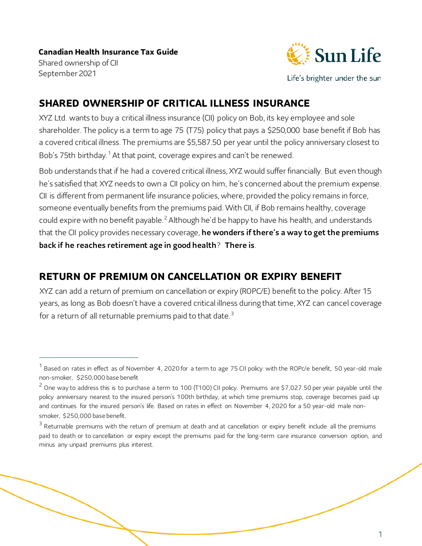

Life's brighter under the sun

### **SHARED OWNERSHIP OF CRITICAL ILLNESS INSURANCE**

XYZ Ltd. wants to buy a critical illness insurance (CII) policy on Bob, its key employee and sole shareholder. The policy is a term to age 75 (T75) policy that pays a \$250,000 base benefit if Bob has a covered critical illness. The premiums are \$5,587.50 per year until the policy anniversary closest to Bob's 75th birthday.<sup>[1](#page-0-0)</sup> At that point, coverage expires and can't be renewed.

Bob understands that if he had a covered critical illness, XYZ would suffer financially. But even though he's satisfied that XYZ needs to own a CII policy on him, he's concerned about the premium expense. CII is different from permanent life insurance policies, where, provided the policy remains in force, someone eventually benefits from the premiums paid. With CII, if Bob remains healthy, coverage could expire with no benefit payable.<sup>[2](#page-0-1)</sup> Although he'd be happy to have his health, and understands that the CII policy provides necessary coverage, he wonders if there's a way to get the premiums back if he reaches retirement age in good health? There is.

### **RETURN OF PREMIUM ON CANCELLATION OR EXPIRY BENEFIT**

XYZ can add a return of premium on cancellation or expiry (ROPC/E) benefit to the policy. After 15 years, as long as Bob doesn't have a covered critical illness during that time, XYZ can cancel coverage for a return of all returnable premiums paid to that date.<sup>[3](#page-0-2)</sup>

<span id="page-0-0"></span> $^1$  Based on rates in effect as of November 4, 2020 for a term to age 75 CII policy with the ROPc/e benefit, 50 year-old male non-smoker, \$250,000 base benefit

<span id="page-0-1"></span> $2$  One way to address this is to purchase a term to 100 (T100) CII policy. Premiums are \$7,027.50 per year payable until the policy anniversary nearest to the insured person's 100th birthday, at which time premiums stop, coverage becomes paid up and continues for the insured person's life. Based on rates in effect on November 4, 2020 for a 50 year-old male nonsmoker, \$250,000 base benefit.

<span id="page-0-2"></span> $3$  Returnable premiums with the return of premium at death and at cancellation or expiry benefit include all the premiums paid to death or to cancellation or expiry except the premiums paid for the long-term care insurance conversion option, and minus any unpaid premiums plus interest.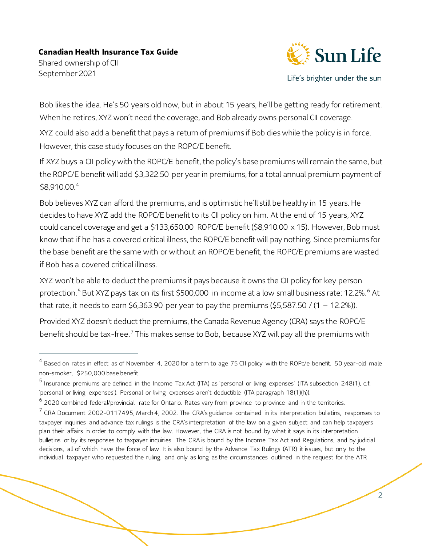September 2021



Life's brighter under the sun

Bob likes the idea. He's 50 years old now, but in about 15 years, he'll be getting ready for retirement. When he retires, XYZ won't need the coverage, and Bob already owns personal CII coverage.

XYZ could also add a benefit that pays a return of premiums if Bob dies while the policy is in force. However, this case study focuses on the ROPC/E benefit.

If XYZ buys a CII policy with the ROPC/E benefit, the policy's base premiums will remain the same, but the ROPC/E benefit will add \$3,322.50 per year in premiums, for a total annual premium payment of \$8,910.00.[4](#page-1-0)

Bob believes XYZ can afford the premiums, and is optimistic he'll still be healthy in 15 years. He decides to have XYZ add the ROPC/E benefit to its CII policy on him. At the end of 15 years, XYZ could cancel coverage and get a \$133,650.00 ROPC/E benefit (\$8,910.00 x 15). However, Bob must know that if he has a covered critical illness, the ROPC/E benefit will pay nothing. Since premiums for the base benefit are the same with or without an ROPC/E benefit, the ROPC/E premiums are wasted if Bob has a covered critical illness.

XYZ won't be able to deduct the premiums it pays because it owns the CII policy for key person protection.<sup>[5](#page-1-1)</sup> But XYZ pays tax on its first \$500,000 in income at a low small business rate: 12.2%.<sup>[6](#page-1-2)</sup> At that rate, it needs to earn \$6,363.90 per year to pay the premiums (\$5,587.50 /  $(1 - 12.2\%)$ ).

Provided XYZ doesn't deduct the premiums, the Canada Revenue Agency (CRA) says the ROPC/E benefit should be tax-free.<sup>[7](#page-1-3)</sup> This makes sense to Bob, because XYZ will pay all the premiums with

<span id="page-1-0"></span> $^4$  Based on rates in effect as of November 4, 2020 for a term to age 75 CII policy with the ROPc/e benefit, 50 year-old male non-smoker, \$250,000 base benefit.

<span id="page-1-1"></span><sup>&</sup>lt;sup>5</sup> Insurance premiums are defined in the Income Tax Act (ITA) as 'personal or living expenses' (ITA subsection 248(1), c.f. 'personal or living expenses'). Personal or living expenses aren't deductible (ITA paragraph 18(1)(h)).

<span id="page-1-2"></span> $^6$  2020 combined federal/provincial rate for Ontario. Rates vary from province to province and in the territories.

<span id="page-1-3"></span> $<sup>7</sup>$  CRA Document 2002-0117495, March 4, 2002. The CRA's guidance contained in its interpretation bulletins, responses to</sup> taxpayer inquiries and advance tax rulings is the CRA's interpretation of the law on a given subject and can help taxpayers plan their affairs in order to comply with the law. However, the CRA is not bound by what it says in its interpretation bulletins or by its responses to taxpayer inquiries. The CRA is bound by the Income Tax Act and Regulations, and by judicial decisions, all of which have the force of law. It is also bound by the Advance Tax Rulings (ATR) it issues, but only to the individual taxpayer who requested the ruling, and only as long as the circumstances outlined in the request for the ATR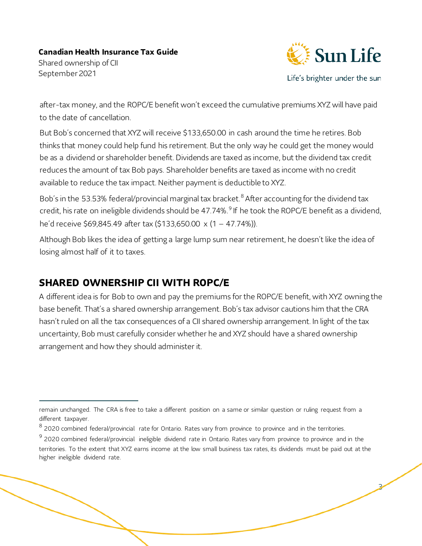Shared ownership of CII September 2021



Life's brighter under the sun

3

after-tax money, and the ROPC/E benefit won't exceed the cumulative premiums XYZ will have paid to the date of cancellation.

But Bob's concerned that XYZ will receive \$133,650.00 in cash around the time he retires. Bob thinks that money could help fund his retirement. But the only way he could get the money would be as a dividend or shareholder benefit. Dividends are taxed as income, but the dividend tax credit reduces the amount of tax Bob pays. Shareholder benefits are taxed as income with no credit available to reduce the tax impact. Neither payment is deductible to XYZ.

Bob's in the 53.53% federal/provincial marginal tax bracket.<sup>[8](#page-2-0)</sup> After accounting for the dividend tax credit, his rate on ineligible dividends should be 47.74%.<sup>[9](#page-2-1)</sup> If he took the ROPC/E benefit as a dividend, he'd receive \$69,845.49 after tax (\$133,650.00 x (1 – 47.74%)).

Although Bob likes the idea of getting a large lump sum near retirement, he doesn't like the idea of losing almost half of it to taxes.

## **SHARED OWNERSHIP CII WITH ROPC/E**

A different idea is for Bob to own and pay the premiums for the ROPC/E benefit, with XYZ owning the base benefit. That's a shared ownership arrangement. Bob's tax advisor cautions him that the CRA hasn't ruled on all the tax consequences of a CII shared ownership arrangement. In light of the tax uncertainty, Bob must carefully consider whether he and XYZ should have a shared ownership arrangement and how they should administer it.

remain unchanged. The CRA is free to take a different position on a same or similar question or ruling request from a different taxpayer.

<span id="page-2-0"></span><sup>&</sup>lt;sup>8</sup> 2020 combined federal/provincial rate for Ontario. Rates vary from province to province and in the territories.

<span id="page-2-1"></span><sup>&</sup>lt;sup>9</sup> 2020 combined federal/provincial ineligible dividend rate in Ontario. Rates vary from province to province and in the territories. To the extent that XYZ earns income at the low small business tax rates, its dividends must be paid out at the higher ineligible dividend rate.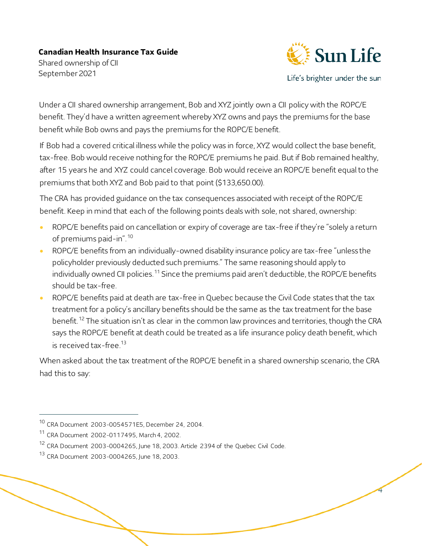September 2021



Life's brighter under the sun

4

Under a CII shared ownership arrangement, Bob and XYZ jointly own a CII policy with the ROPC/E benefit. They'd have a written agreement whereby XYZ owns and pays the premiums for the base benefit while Bob owns and pays the premiums for the ROPC/E benefit.

If Bob had a covered critical illness while the policy was in force, XYZ would collect the base benefit, tax-free. Bob would receive nothing for the ROPC/E premiums he paid. But if Bob remained healthy, after 15 years he and XYZ could cancel coverage. Bob would receive an ROPC/E benefit equal to the premiums that both XYZ and Bob paid to that point (\$133,650.00).

The CRA has provided guidance on the tax consequences associated with receipt of the ROPC/E benefit. Keep in mind that each of the following points deals with sole, not shared, ownership:

- ROPC/E benefits paid on cancellation or expiry of coverage are tax-free if they're "solely a return of premiums paid-in".[10](#page-3-0)
- ROPC/E benefits from an individually-owned disability insurance policy are tax-free "unless the policyholder previously deducted such premiums." The same reasoning should apply to individually owned CII policies.<sup>[11](#page-3-1)</sup> Since the premiums paid aren't deductible, the ROPC/E benefits should be tax-free.
- ROPC/E benefits paid at death are tax-free in Quebec because the Civil Code states that the tax treatment for a policy's ancillary benefits should be the same as the tax treatment for the base benefit.<sup>[12](#page-3-2)</sup> The situation isn't as clear in the common law provinces and territories, though the CRA says the ROPC/E benefit at death could be treated as a life insurance policy death benefit, which is received tax-free. [13](#page-3-3)

When asked about the tax treatment of the ROPC/E benefit in a shared ownership scenario, the CRA had this to say:

<span id="page-3-0"></span><sup>10</sup> CRA Document 2003-0054571E5, December 24, 2004.

<span id="page-3-1"></span><sup>11</sup> CRA Document 2002-0117495, March 4, 2002.

<span id="page-3-2"></span><sup>&</sup>lt;sup>12</sup> CRA Document 2003-0004265, June 18, 2003. Article 2394 of the Quebec Civil Code.

<span id="page-3-3"></span><sup>13</sup> CRA Document 2003-0004265, June 18, 2003.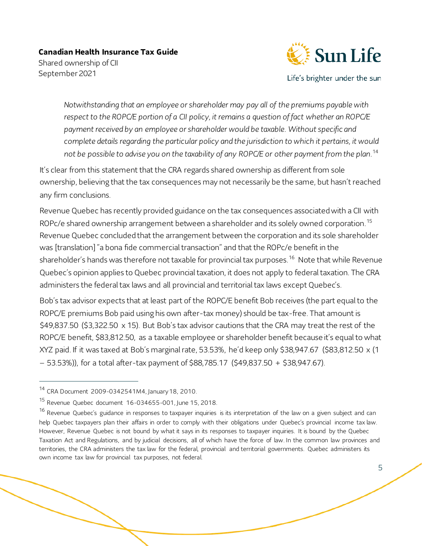Shared ownership of CII September 2021



Life's brighter under the sun

*Notwithstanding that an employee or shareholder may pay all of the premiums payable with respect to the ROPC/E portion of a CII policy, it remains a question of fact whether an ROPC/E payment received by an employee or shareholder would be taxable. Without specific and complete details regarding the particular policy and the jurisdiction to which it pertains, it would not be possible to advise you on the taxability of any ROPC/E or other payment from the plan*. [14](#page-4-0)

It's clear from this statement that the CRA regards shared ownership as different from sole ownership, believing that the tax consequences may not necessarily be the same, but hasn't reached any firm conclusions.

Revenue Quebec has recently provided guidance on the tax consequences associated with a CII with ROPc/e shared ownership arrangement between a shareholder and its solely owned corporation. [15](#page-4-1) Revenue Quebec concluded that the arrangement between the corporation and its sole shareholder was [translation] "a bona fide commercial transaction" and that the ROPc/e benefit in the shareholder's hands was therefore not taxable for provincial tax purposes.<sup>[16](#page-4-2)</sup> Note that while Revenue Quebec's opinion applies to Quebec provincial taxation, it does not apply to federal taxation. The CRA administers the federal tax laws and all provincial and territorial tax laws except Quebec's.

Bob's tax advisor expects that at least part of the ROPC/E benefit Bob receives (the part equal to the ROPC/E premiums Bob paid using his own after-tax money) should be tax-free. That amount is \$49,837.50 (\$3,322.50 x 15). But Bob's tax advisor cautions that the CRA may treat the rest of the ROPC/E benefit, \$83,812.50, as a taxable employee or shareholder benefit because it's equal to what XYZ paid. If it was taxed at Bob's marginal rate, 53.53%, he'd keep only \$38,947.67 (\$83,812.50 x (1 – 53.53%)), for a total after-tax payment of \$88,785.17 (\$49,837.50 + \$38,947.67).

<span id="page-4-0"></span><sup>14</sup> CRA Document 2009-0342541M4, January 18, 2010.

<span id="page-4-1"></span><sup>15</sup> Revenue Quebec document 16-034655-001, June 15, 2018.

<span id="page-4-2"></span><sup>&</sup>lt;sup>16</sup> Revenue Quebec's guidance in responses to taxpayer inquiries is its interpretation of the law on a given subject and can help Quebec taxpayers plan their affairs in order to comply with their obligations under Quebec's provincial income tax law. However, Revenue Quebec is not bound by what it says in its responses to taxpayer inquiries. It is bound by the Quebec Taxation Act and Regulations, and by judicial decisions, all of which have the force of law. In the common law provinces and territories, the CRA administers the tax law for the federal, provincial and territorial governments. Quebec administers its own income tax law for provincial tax purposes, not federal.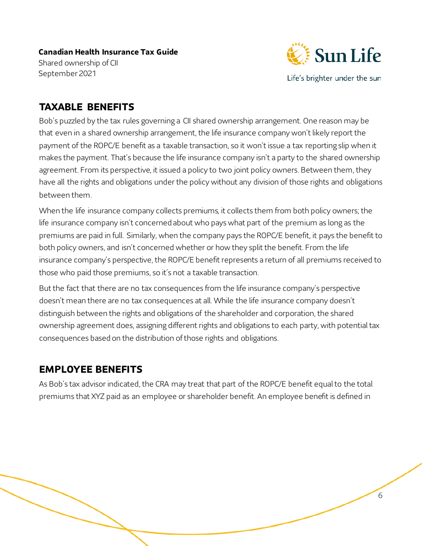

Life's brighter under the sun

### **TAXABLE BENEFITS**

Bob's puzzled by the tax rules governing a CII shared ownership arrangement. One reason may be that even in a shared ownership arrangement, the life insurance company won't likely report the payment of the ROPC/E benefit as a taxable transaction, so it won't issue a tax reporting slip when it makes the payment. That's because the life insurance company isn't a party to the shared ownership agreement. From its perspective, it issued a policy to two joint policy owners. Between them, they have all the rights and obligations under the policy without any division of those rights and obligations between them.

When the life insurance company collects premiums, it collects them from both policy owners; the life insurance company isn't concerned about who pays what part of the premium as long as the premiums are paid in full. Similarly, when the company pays the ROPC/E benefit, it pays the benefit to both policy owners, and isn't concerned whether or how they split the benefit. From the life insurance company's perspective, the ROPC/E benefit represents a return of all premiums received to those who paid those premiums, so it's not a taxable transaction.

But the fact that there are no tax consequences from the life insurance company's perspective doesn't mean there are no tax consequences at all. While the life insurance company doesn't distinguish between the rights and obligations of the shareholder and corporation, the shared ownership agreement does, assigning different rights and obligations to each party, with potential tax consequences based on the distribution of those rights and obligations.

## **EMPLOYEE BENEFITS**

As Bob's tax advisor indicated, the CRA may treat that part of the ROPC/E benefit equal to the total premiums that XYZ paid as an employee or shareholder benefit. An employee benefit is defined in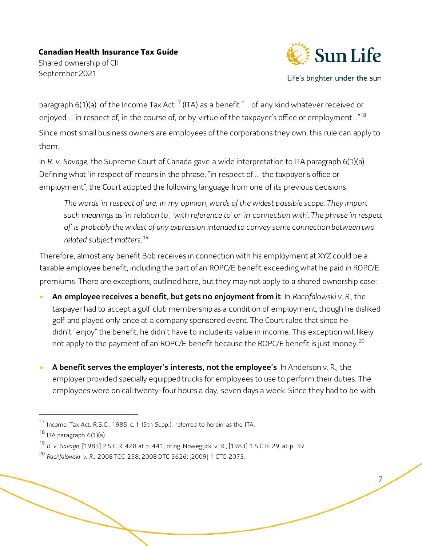Shared ownership of CII September 2021



Life's brighter under the sun

7

paragraph  $6(1)(a)$  of the Income Tax Act<sup>[17](#page-6-0)</sup> (ITA) as a benefit "... of any kind whatever received or enjoyed ... in respect of, in the course of, or by virtue of the taxpayer's office or employment..."<sup>[18](#page-6-1)</sup> Since most small business owners are employees of the corporations they own, this rule can apply to them.

In *R. v. Savage*, the Supreme Court of Canada gave a wide interpretation to ITA paragraph 6(1)(a). Defining what 'in respect of' means in the phrase, "in respect of … the taxpayer's office or employment", the Court adopted the following language from one of its previous decisions:

*The words 'in respect of' are, in my opinion, words of the widest possible scope. They import such meanings as 'in relation to', 'with reference to' or 'in connection with'. The phrase 'in respect of' is probably the widest of any expression intended to convey some connection between two related subject matters*. [19](#page-6-2)

Therefore, almost any benefit Bob receives in connection with his employment at XYZ could be a taxable employee benefit, including the part of an ROPC/E benefit exceeding what he paid in ROPC/E premiums. There are exceptions, outlined here, but they may not apply to a shared ownership case:

- An employee receives a benefit, but gets no enjoyment from it. In *Rachfalowski v. R.*, the taxpayer had to accept a golf club membership as a condition of employment, though he disliked golf and played only once at a company sponsored event. The Court ruled that since he didn't "enjoy" the benefit, he didn't have to include its value in income. This exception will likely not apply to the payment of an ROPC/E benefit because the ROPC/E benefit is just money.<sup>[20](#page-6-3)</sup>
- A benefit serves the employer's interests, not the employee's. In Anderson v. R., the employer provided specially equipped trucks for employees to use to perform their duties. The employees were on call twenty-four hours a day, seven days a week. Since they had to be with

<span id="page-6-0"></span><sup>17</sup> Income Tax Act, R.S.C., 1985, c. 1 (5th Supp.), referred to herein as the ITA.

<span id="page-6-1"></span><sup>18</sup> ITA paragraph 6(1)(a).

<span id="page-6-2"></span><sup>19</sup> *R. v. Savage*, [1983] 2 S.C.R. 428 at p. 441, citing Nowegijick v. R., [1983] 1 S.C.R. 29, at p. 39.

<span id="page-6-3"></span><sup>20</sup> *Rachfalowski v. R.*, 2008 TCC 258; 2008 DTC 3626; [2009] 1 CTC 2073.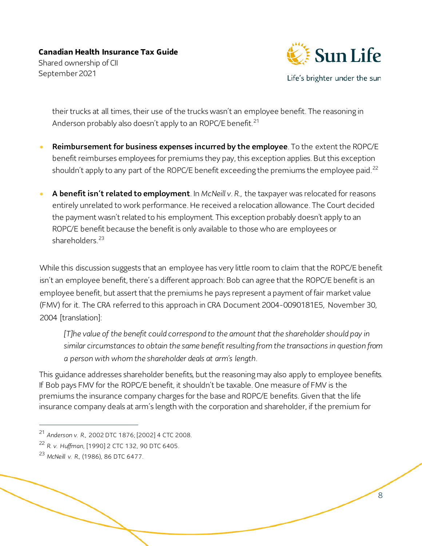![](_page_7_Picture_1.jpeg)

Life's brighter under the sun

8

their trucks at all times, their use of the trucks wasn't an employee benefit. The reasoning in Anderson probably also doesn't apply to an ROPC/E benefit.<sup>[21](#page-7-0)</sup>

- Reimbursement for business expenses incurred by the employee. To the extent the ROPC/E benefit reimburses employees for premiums they pay, this exception applies. But this exception shouldn't apply to any part of the ROPC/E benefit exceeding the premiums the employee paid.<sup>[22](#page-7-1)</sup>
- A benefit isn't related to employment. In *McNeill v. R.*, the taxpayer was relocated for reasons entirely unrelated to work performance. He received a relocation allowance. The Court decided the payment wasn't related to his employment. This exception probably doesn't apply to an ROPC/E benefit because the benefit is only available to those who are employees or shareholders<sup>[23](#page-7-2)</sup>

While this discussion suggests that an employee has very little room to claim that the ROPC/E benefit isn't an employee benefit, there's a different approach: Bob can agree that the ROPC/E benefit is an employee benefit, but assert that the premiums he pays represent a payment of fair market value (FMV) for it. The CRA referred to this approach in CRA Document 2004-0090181E5, November 30, 2004 [translation]:

*[T]he value of the benefit could correspond to the amount that the shareholder should pay in similar circumstances to obtain the same benefit resulting from the transactions in question from a person with whom the shareholder deals at arm's length*.

This guidance addresses shareholder benefits, but the reasoning may also apply to employee benefits. If Bob pays FMV for the ROPC/E benefit, it shouldn't be taxable. One measure of FMV is the premiums the insurance company charges for the base and ROPC/E benefits. Given that the life insurance company deals at arm's length with the corporation and shareholder, if the premium for

<span id="page-7-2"></span><sup>23</sup> *McNeill v. R.,* (1986), 86 DTC 6477.

<span id="page-7-0"></span><sup>21</sup> *Anderson v. R.*, 2002 DTC 1876; [2002] 4 CTC 2008.

<span id="page-7-1"></span><sup>22</sup> *R. v. Huffman*, [1990] 2 CTC 132, 90 DTC 6405.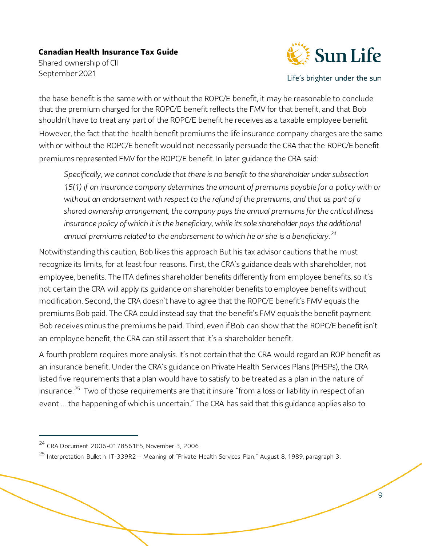![](_page_8_Picture_1.jpeg)

Life's brighter under the sun

the base benefit is the same with or without the ROPC/E benefit, it may be reasonable to conclude that the premium charged for the ROPC/E benefit reflects the FMV for that benefit, and that Bob shouldn't have to treat any part of the ROPC/E benefit he receives as a taxable employee benefit. However, the fact that the health benefit premiums the life insurance company charges are the same with or without the ROPC/E benefit would not necessarily persuade the CRA that the ROPC/E benefit premiums represented FMV for the ROPC/E benefit. In later guidance the CRA said:

*Specifically, we cannot conclude that there is no benefit to the shareholder under subsection 15(1) if an insurance company determines the amount of premiums payable for a policy with or without an endorsement with respect to the refund of the premiums, and that as part of a shared ownership arrangement, the company pays the annual premiums for the critical illness*  insurance policy of which it is the beneficiary, while its sole shareholder pays the additional *annual premiums related to the endorsement to which he or she is a beneficiary.[24](#page-8-0)*

Notwithstanding this caution, Bob likes this approach But his tax advisor cautions that he must recognize its limits, for at least four reasons. First, the CRA's guidance deals with shareholder, not employee, benefits. The ITA defines shareholder benefits differently from employee benefits, so it's not certain the CRA will apply its guidance on shareholder benefits to employee benefits without modification. Second, the CRA doesn't have to agree that the ROPC/E benefit's FMV equals the premiums Bob paid. The CRA could instead say that the benefit's FMV equals the benefit payment Bob receives minus the premiums he paid. Third, even if Bob can show that the ROPC/E benefit isn't an employee benefit, the CRA can still assert that it's a shareholder benefit.

A fourth problem requires more analysis. It's not certain that the CRA would regard an ROP benefit as an insurance benefit. Under the CRA's guidance on Private Health Services Plans (PHSPs), the CRA listed five requirements that a plan would have to satisfy to be treated as a plan in the nature of insurance.<sup>[25](#page-8-1)</sup> Two of those requirements are that it insure "from a loss or liability in respect of an event … the happening of which is uncertain." The CRA has said that this guidance applies also to

<span id="page-8-0"></span><sup>24</sup> CRA Document 2006-0178561E5, November 3, 2006.

<span id="page-8-1"></span><sup>25</sup> Interpretation Bulletin IT-339R2 – Meaning of "Private Health Services Plan," August 8, 1989, paragraph 3.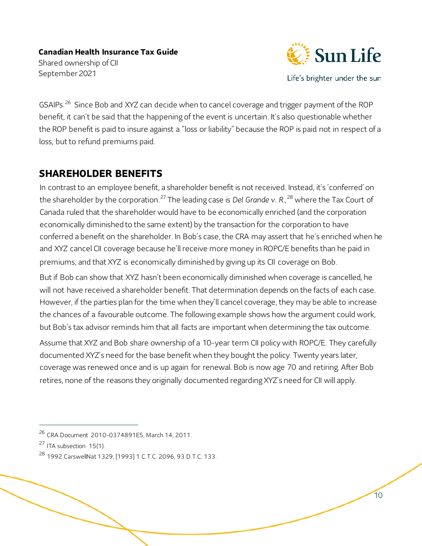![](_page_9_Picture_1.jpeg)

Life's brighter under the sun

10

GSAIPs.<sup>[26](#page-9-0)</sup> Since Bob and XYZ can decide when to cancel coverage and trigger payment of the ROP benefit, it can't be said that the happening of the event is uncertain. It's also questionable whether the ROP benefit is paid to insure against a "loss or liability" because the ROP is paid not in respect of a loss, but to refund premiums paid.

### **SHAREHOLDER BENEFITS**

In contrast to an employee benefit, a shareholder benefit is not received. Instead, it's 'conferred' on the shareholder by the corporation.[27](#page-9-1) The leading case is *Del Grande v. R.*, [28](#page-9-2) where the Tax Court of Canada ruled that the shareholder would have to be economically enriched (and the corporation economically diminished to the same extent) by the transaction for the corporation to have conferred a benefit on the shareholder. In Bob's case, the CRA may assert that he's enriched when he and XYZ cancel CII coverage because he'll receive more money in ROPC/E benefits than he paid in premiums, and that XYZ is economically diminished by giving up its CII coverage on Bob.

But if Bob can show that XYZ hasn't been economically diminished when coverage is cancelled, he will not have received a shareholder benefit. That determination depends on the facts of each case. However, if the parties plan for the time when they'll cancel coverage, they may be able to increase the chances of a favourable outcome. The following example shows how the argument could work, but Bob's tax advisor reminds him that all facts are important when determining the tax outcome.

Assume that XYZ and Bob share ownership of a 10-year term CII policy with ROPC/E. They carefully documented XYZ's need for the base benefit when they bought the policy. Twenty years later, coverage was renewed once and is up again for renewal. Bob is now age 70 and retiring. After Bob retires, none of the reasons they originally documented regarding XYZ's need for CII will apply.

<span id="page-9-0"></span><sup>26</sup> CRA Document 2010-0374891E5, March 14, 2011.

<span id="page-9-1"></span><sup>&</sup>lt;sup>27</sup> ITA subsection 15(1).

<span id="page-9-2"></span><sup>28</sup> 1992 CarswellNat 1329, [1993] 1 C.T.C. 2096, 93 D.T.C. 133.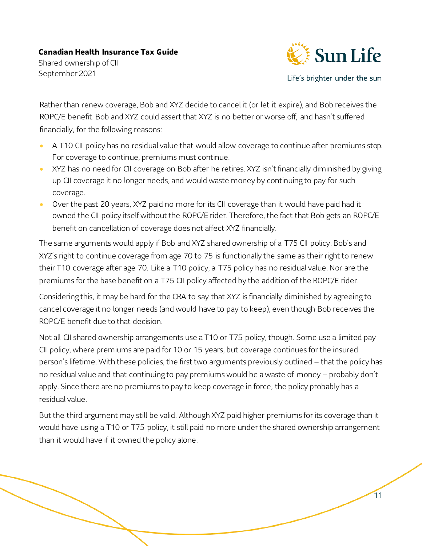September 2021

![](_page_10_Picture_2.jpeg)

Life's brighter under the sun

11

Rather than renew coverage, Bob and XYZ decide to cancel it (or let it expire), and Bob receives the ROPC/E benefit. Bob and XYZ could assert that XYZ is no better or worse off, and hasn't suffered financially, for the following reasons:

- A T10 CII policy has no residual value that would allow coverage to continue after premiums stop. For coverage to continue, premiums must continue.
- XYZ has no need for CII coverage on Bob after he retires. XYZ isn't financially diminished by giving up CII coverage it no longer needs, and would waste money by continuing to pay for such coverage.
- Over the past 20 years, XYZ paid no more for its CII coverage than it would have paid had it owned the CII policy itself without the ROPC/E rider. Therefore, the fact that Bob gets an ROPC/E benefit on cancellation of coverage does not affect XYZ financially.

The same arguments would apply if Bob and XYZ shared ownership of a T75 CII policy. Bob's and XYZ's right to continue coverage from age 70 to 75 is functionally the same as their right to renew their T10 coverage after age 70. Like a T10 policy, a T75 policy has no residual value. Nor are the premiums for the base benefit on a T75 CII policy affected by the addition of the ROPC/E rider.

Considering this, it may be hard for the CRA to say that XYZ is financially diminished by agreeing to cancel coverage it no longer needs (and would have to pay to keep), even though Bob receives the ROPC/E benefit due to that decision.

Not all CII shared ownership arrangements use a T10 or T75 policy, though. Some use a limited pay CII policy, where premiums are paid for 10 or 15 years, but coverage continues for the insured person's lifetime. With these policies, the first two arguments previously outlined – that the policy has no residual value and that continuing to pay premiums would be a waste of money – probably don't apply. Since there are no premiums to pay to keep coverage in force, the policy probably has a residual value.

But the third argument may still be valid. Although XYZ paid higher premiums for its coverage than it would have using a T10 or T75 policy, it still paid no more under the shared ownership arrangement than it would have if it owned the policy alone.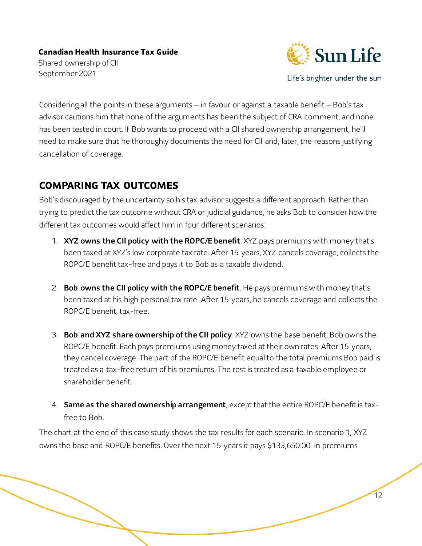![](_page_11_Picture_1.jpeg)

Life's brighter under the sun

12

Considering all the points in these arguments – in favour or against a taxable benefit – Bob's tax advisor cautions him that none of the arguments has been the subject of CRA comment, and none has been tested in court. If Bob wants to proceed with a CII shared ownership arrangement, he'll need to make sure that he thoroughly documents the need for CII and, later, the reasons justifying cancellation of coverage.

## **COMPARING TAX OUTCOMES**

Bob's discouraged by the uncertainty so his tax advisor suggests a different approach. Rather than trying to predict the tax outcome without CRA or judicial guidance, he asks Bob to consider how the different tax outcomes would affect him in four different scenarios:

- 1. XYZ owns the CII policy with the ROPC/E benefit. XYZ pays premiums with money that's been taxed at XYZ's low corporate tax rate. After 15 years, XYZ cancels coverage, collects the ROPC/E benefit tax-free and pays it to Bob as a taxable dividend.
- 2. Bob owns the CII policy with the ROPC/E benefit. He pays premiums with money that's been taxed at his high personal tax rate. After 15 years, he cancels coverage and collects the ROPC/E benefit, tax-free.
- 3. Bob and XYZ share ownership of the CII policy. XYZ owns the base benefit; Bob owns the ROPC/E benefit. Each pays premiums using money taxed at their own rates. After 15 years, they cancel coverage. The part of the ROPC/E benefit equal to the total premiums Bob paid is treated as a tax-free return of his premiums. The rest is treated as a taxable employee or shareholder benefit.
- 4. Same as the shared ownership arrangement, except that the entire ROPC/E benefit is taxfree to Bob.

The chart at the end of this case study shows the tax results for each scenario. In scenario 1, XYZ owns the base and ROPC/E benefits. Over the next 15 years it pays \$133,650.00 in premiums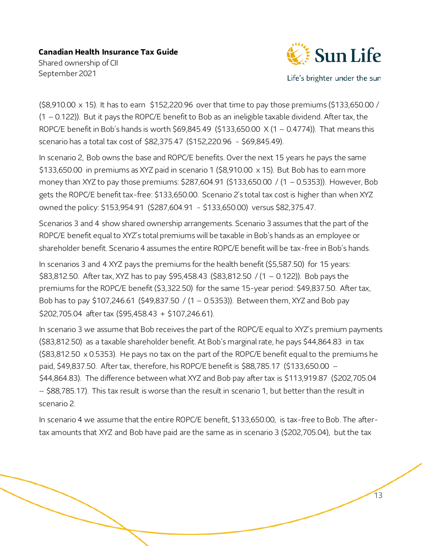Shared ownership of CII September 2021

![](_page_12_Picture_2.jpeg)

Life's brighter under the sun

13

(\$8,910.00 x 15). It has to earn \$152,220.96 over that time to pay those premiums (\$133,650.00 / (1 – 0.122)). But it pays the ROPC/E benefit to Bob as an ineligible taxable dividend. After tax, the ROPC/E benefit in Bob's hands is worth \$69,845.49 (\$133,650.00 X (1 – 0.4774)). That means this scenario has a total tax cost of \$82,375.47 (\$152,220.96 - \$69,845.49).

In scenario 2, Bob owns the base and ROPC/E benefits. Over the next 15 years he pays the same \$133,650.00 in premiums as XYZ paid in scenario 1 (\$8,910.00 x 15). But Bob has to earn more money than XYZ to pay those premiums: \$287,604.91 (\$133,650.00 / (1 – 0.5353)). However, Bob gets the ROPC/E benefit tax-free: \$133,650.00. Scenario 2's total tax cost is higher than when XYZ owned the policy: \$153,954.91 (\$287,604.91 - \$133,650.00) versus \$82,375.47.

Scenarios 3 and 4 show shared ownership arrangements. Scenario 3 assumes that the part of the ROPC/E benefit equal to XYZ's total premiums will be taxable in Bob's hands as an employee or shareholder benefit. Scenario 4 assumes the entire ROPC/E benefit will be tax-free in Bob's hands.

In scenarios 3 and 4 XYZ pays the premiums for the health benefit (\$5,587.50) for 15 years: \$83,812.50. After tax, XYZ has to pay \$95,458.43 (\$83,812.50 / (1 – 0.122)). Bob pays the premiums for the ROPC/E benefit (\$3,322.50) for the same 15-year period: \$49,837.50. After tax, Bob has to pay \$107,246.61 (\$49,837.50 / (1 – 0.5353)). Between them, XYZ and Bob pay \$202,705.04 after tax (\$95,458.43 + \$107,246.61).

In scenario 3 we assume that Bob receives the part of the ROPC/E equal to XYZ's premium payments (\$83,812.50) as a taxable shareholder benefit. At Bob's marginal rate, he pays \$44,864.83 in tax (\$83,812.50 x 0.5353). He pays no tax on the part of the ROPC/E benefit equal to the premiums he paid, \$49,837.50. After tax, therefore, his ROPC/E benefit is \$88,785.17 (\$133,650.00 – \$44,864.83). The difference between what XYZ and Bob pay after tax is \$113,919.87 (\$202,705.04 – \$88,785.17). This tax result is worse than the result in scenario 1, but better than the result in scenario 2.

In scenario 4 we assume that the entire ROPC/E benefit, \$133,650.00, is tax-free to Bob. The aftertax amounts that XYZ and Bob have paid are the same as in scenario 3 (\$202,705.04), but the tax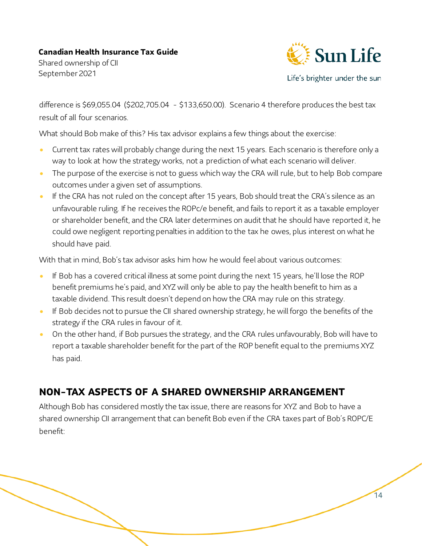Shared ownership of CII September 2021

![](_page_13_Picture_2.jpeg)

Life's brighter under the sun

14

difference is \$69,055.04 (\$202,705.04 - \$133,650.00). Scenario 4 therefore produces the best tax result of all four scenarios.

What should Bob make of this? His tax advisor explains a few things about the exercise:

- Current tax rates will probably change during the next 15 years. Each scenario is therefore only a way to look at how the strategy works, not a prediction of what each scenario will deliver.
- The purpose of the exercise is not to guess which way the CRA will rule, but to help Bob compare outcomes under a given set of assumptions.
- If the CRA has not ruled on the concept after 15 years, Bob should treat the CRA's silence as an unfavourable ruling. If he receives the ROPc/e benefit, and fails to report it as a taxable employer or shareholder benefit, and the CRA later determines on audit that he should have reported it, he could owe negligent reporting penalties in addition to the tax he owes, plus interest on what he should have paid.

With that in mind, Bob's tax advisor asks him how he would feel about various outcomes:

- If Bob has a covered critical illness at some point during the next 15 years, he'll lose the ROP benefit premiums he's paid, and XYZ will only be able to pay the health benefit to him as a taxable dividend. This result doesn't depend on how the CRA may rule on this strategy.
- If Bob decides not to pursue the CII shared ownership strategy, he will forgo the benefits of the strategy if the CRA rules in favour of it.
- On the other hand, if Bob pursues the strategy, and the CRA rules unfavourably, Bob will have to report a taxable shareholder benefit for the part of the ROP benefit equal to the premiums XYZ has paid.

## **NON-TAX ASPECTS OF A SHARED OWNERSHIP ARRANGEMENT**

Although Bob has considered mostly the tax issue, there are reasons for XYZ and Bob to have a shared ownership CII arrangement that can benefit Bob even if the CRA taxes part of Bob's ROPC/E benefit: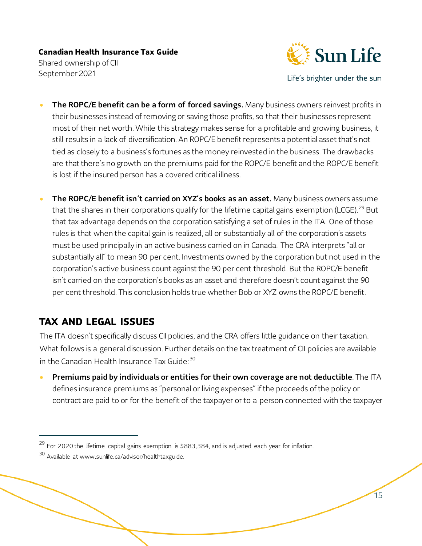![](_page_14_Picture_1.jpeg)

Life's brighter under the sun

- The ROPC/E benefit can be a form of forced savings. Many business owners reinvest profits in their businesses instead of removing or saving those profits, so that their businesses represent most of their net worth. While this strategy makes sense for a profitable and growing business, it still results in a lack of diversification. An ROPC/E benefit represents a potential asset that's not tied as closely to a business's fortunes as the money reinvested in the business. The drawbacks are that there's no growth on the premiums paid for the ROPC/E benefit and the ROPC/E benefit is lost if the insured person has a covered critical illness.
- The ROPC/E benefit isn't carried on XYZ's books as an asset. Many business owners assume that the shares in their corporations qualify for the lifetime capital gains exemption (LCGE).<sup>[29](#page-14-0)</sup> But that tax advantage depends on the corporation satisfying a set of rules in the ITA. One of those rules is that when the capital gain is realized, all or substantially all of the corporation's assets must be used principally in an active business carried on in Canada. The CRA interprets "all or substantially all" to mean 90 per cent. Investments owned by the corporation but not used in the corporation's active business count against the 90 per cent threshold. But the ROPC/E benefit isn't carried on the corporation's books as an asset and therefore doesn't count against the 90 per cent threshold. This conclusion holds true whether Bob or XYZ owns the ROPC/E benefit.

## **TAX AND LEGAL ISSUES**

The ITA doesn't specifically discuss CII policies, and the CRA offers little guidance on their taxation. What follows is a general discussion. Further details on the tax treatment of CII policies are available in the Canadian Health Insurance Tax Guide: [30](#page-14-1)

Premiums paid by individuals or entities for their own coverage are not deductible. The ITA defines insurance premiums as "personal or living expenses" if the proceeds of the policy or contract are paid to or for the benefit of the taxpayer or to a person connected with the taxpayer

<span id="page-14-0"></span><sup>&</sup>lt;sup>29</sup> For 2020 the lifetime capital gains exemption is \$883,384, and is adjusted each year for inflation.

<span id="page-14-1"></span><sup>&</sup>lt;sup>30</sup> Available at www.sunlife.ca/advisor/healthtaxguide.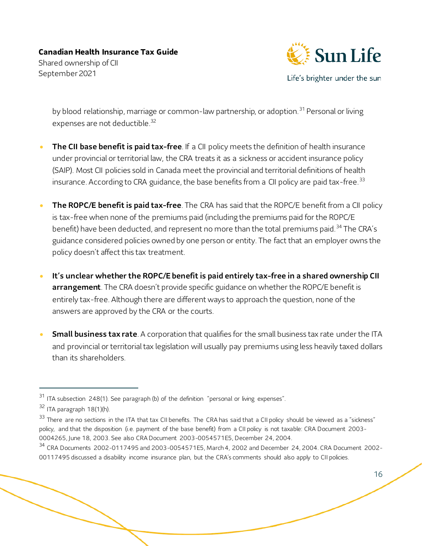![](_page_15_Picture_1.jpeg)

Life's brighter under the sun

by blood relationship, marriage or common-law partnership, or adoption.<sup>[31](#page-15-0)</sup> Personal or living expenses are not deductible.<sup>32</sup>

- The CII base benefit is paid tax-free. If a CII policy meets the definition of health insurance under provincial or territorial law, the CRA treats it as a sickness or accident insurance policy (SAIP). Most CII policies sold in Canada meet the provincial and territorial definitions of health insurance. According to CRA guidance, the base benefits from a CII policy are paid tax-free.<sup>[33](#page-15-2)</sup>
- The ROPC/E benefit is paid tax-free. The CRA has said that the ROPC/E benefit from a CII policy is tax-free when none of the premiums paid (including the premiums paid for the ROPC/E benefit) have been deducted, and represent no more than the total premiums paid.<sup>[34](#page-15-3)</sup> The CRA's guidance considered policies owned by one person or entity. The fact that an employer owns the policy doesn't affect this tax treatment.
- It's unclear whether the ROPC/E benefit is paid entirely tax-free in a shared ownership CII arrangement. The CRA doesn't provide specific guidance on whether the ROPC/E benefit is entirely tax-free. Although there are different ways to approach the question, none of the answers are approved by the CRA or the courts.
- **Small business tax rate**. A corporation that qualifies for the small business tax rate under the ITA and provincial or territorial tax legislation will usually pay premiums using less heavily taxed dollars than its shareholders.

<span id="page-15-0"></span><sup>&</sup>lt;sup>31</sup> ITA subsection 248(1). See paragraph (b) of the definition "personal or living expenses".

<span id="page-15-1"></span><sup>32</sup> ITA paragraph 18(1)(h).

<span id="page-15-2"></span><sup>&</sup>lt;sup>33</sup> There are no sections in the ITA that tax CII benefits. The CRA has said that a CII policy should be viewed as a "sickness" policy, and that the disposition (i.e. payment of the base benefit) from a CII policy is not taxable: CRA Document 2003- 0004265, June 18, 2003. See also CRA Document 2003-0054571E5, December 24, 2004.

<span id="page-15-3"></span><sup>34</sup> CRA Documents 2002-0117495 and 2003-0054571E5, March 4, 2002 and December 24, 2004. CRA Document 2002- 00117495 discussed a disability income insurance plan, but the CRA's comments should also apply to CII policies.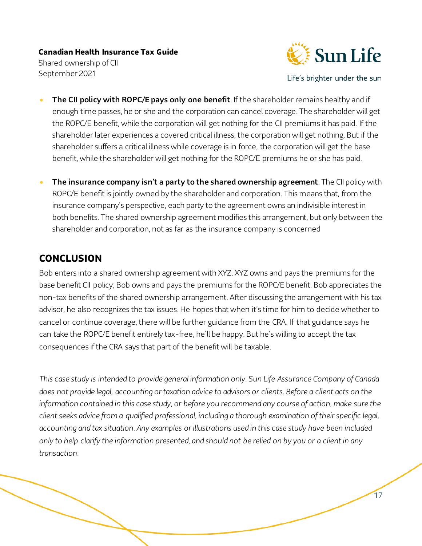![](_page_16_Picture_1.jpeg)

Life's brighter under the sun

- The CII policy with ROPC/E pays only one benefit. If the shareholder remains healthy and if enough time passes, he or she and the corporation can cancel coverage. The shareholder will get the ROPC/E benefit, while the corporation will get nothing for the CII premiums it has paid. If the shareholder later experiences a covered critical illness, the corporation will get nothing. But if the shareholder suffers a critical illness while coverage is in force, the corporation will get the base benefit, while the shareholder will get nothing for the ROPC/E premiums he or she has paid.
- The insurance company isn't a party to the shared ownership agreement. The CII policy with ROPC/E benefit is jointly owned by the shareholder and corporation. This means that, from the insurance company's perspective, each party to the agreement owns an indivisible interest in both benefits. The shared ownership agreement modifies this arrangement, but only between the shareholder and corporation, not as far as the insurance company is concerned

### **CONCLUSION**

Bob enters into a shared ownership agreement with XYZ. XYZ owns and pays the premiums for the base benefit CII policy; Bob owns and pays the premiums for the ROPC/E benefit. Bob appreciates the non-tax benefits of the shared ownership arrangement. After discussing the arrangement with his tax advisor, he also recognizes the tax issues. He hopes that when it's time for him to decide whether to cancel or continue coverage, there will be further guidance from the CRA. If that guidance says he can take the ROPC/E benefit entirely tax-free, he'll be happy. But he's willing to accept the tax consequences if the CRA says that part of the benefit will be taxable.

*This case study is intended to provide general information only. Sun Life Assurance Company of Canada does not provide legal, accounting or taxation advice to advisors or clients. Before a client acts on the information contained in this case study, or before you recommend any course of action, make sure the client seeks advice from a qualified professional, including a thorough examination of their specific legal, accounting and tax situation. Any examples or illustrations used in this case study have been included only to help clarify the information presented, and should not be relied on by you or a client in any transaction.*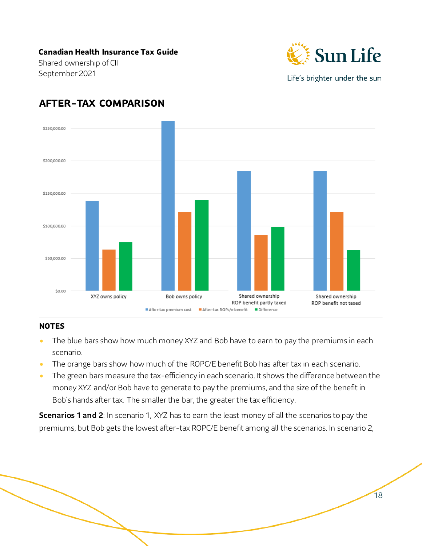Shared ownership of CII September 2021

![](_page_17_Picture_2.jpeg)

Life's brighter under the sun

18

## **AFTER-TAX COMPARISON**

![](_page_17_Figure_5.jpeg)

#### **NOTES**

- The blue bars show how much money XYZ and Bob have to earn to pay the premiums in each scenario.
- The orange bars show how much of the ROPC/E benefit Bob has after tax in each scenario.
- The green bars measure the tax-efficiency in each scenario. It shows the difference between the money XYZ and/or Bob have to generate to pay the premiums, and the size of the benefit in Bob's hands after tax. The smaller the bar, the greater the tax efficiency.

**Scenarios 1 and 2**: In scenario 1, XYZ has to earn the least money of all the scenarios to pay the premiums, but Bob gets the lowest after-tax ROPC/E benefit among all the scenarios. In scenario 2,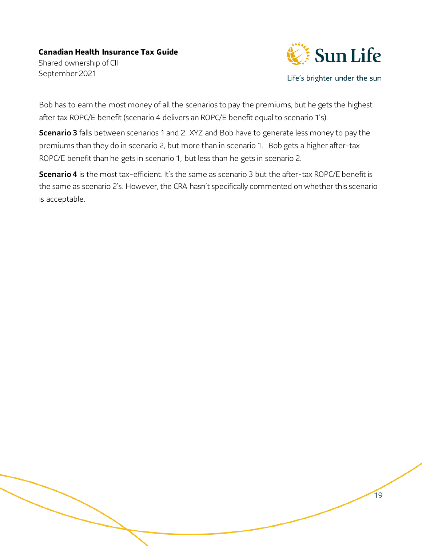![](_page_18_Picture_1.jpeg)

Life's brighter under the sun

19

Bob has to earn the most money of all the scenarios to pay the premiums, but he gets the highest after tax ROPC/E benefit (scenario 4 delivers an ROPC/E benefit equal to scenario 1's).

**Scenario 3** falls between scenarios 1 and 2. XYZ and Bob have to generate less money to pay the premiums than they do in scenario 2, but more than in scenario 1. Bob gets a higher after-tax ROPC/E benefit than he gets in scenario 1, but less than he gets in scenario 2.

Scenario 4 is the most tax-efficient. It's the same as scenario 3 but the after-tax ROPC/E benefit is the same as scenario 2's. However, the CRA hasn't specifically commented on whether this scenario is acceptable.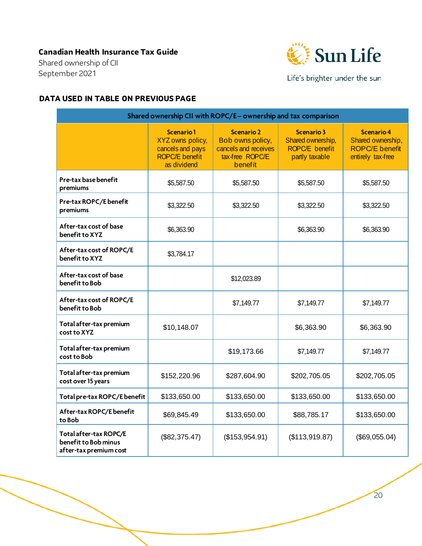Shared ownership of CII September 2021

![](_page_19_Picture_2.jpeg)

Life's brighter under the sun

#### **DATA USED IN TABLE ON PREVIOUS PAGE**

| Shared ownership CII with ROPC/E- ownership and tax comparison           |                                                                                                  |                                                                                             |                                                                            |                                                                                      |
|--------------------------------------------------------------------------|--------------------------------------------------------------------------------------------------|---------------------------------------------------------------------------------------------|----------------------------------------------------------------------------|--------------------------------------------------------------------------------------|
|                                                                          | <b>Scenario1</b><br>XYZ owns policy,<br>cancels and pays<br><b>ROPC/E benefit</b><br>as dividend | <b>Scenario 2</b><br>Bob owns policy,<br>cancels and receives<br>tax-free ROPC/E<br>benefit | <b>Scenario 3</b><br>Shared ownership,<br>ROPC/E benefit<br>partly taxable | <b>Scenario 4</b><br>Shared ownership,<br><b>ROPC/E benefit</b><br>entirely tax-free |
| Pre-tax base benefit<br>premiums                                         | \$5,587.50                                                                                       | \$5,587.50                                                                                  | \$5,587.50                                                                 | \$5,587.50                                                                           |
| Pre-tax ROPC/E benefit<br>premiums                                       | \$3,322.50                                                                                       | \$3,322.50                                                                                  | \$3,322.50                                                                 | \$3,322.50                                                                           |
| After-tax cost of base<br>benefit to XYZ                                 | \$6,363.90                                                                                       |                                                                                             | \$6,363.90                                                                 | \$6,363.90                                                                           |
| After-tax cost of ROPC/E<br>benefit to XYZ                               | \$3,784.17                                                                                       |                                                                                             |                                                                            |                                                                                      |
| After-tax cost of base<br>benefit to Bob                                 |                                                                                                  | \$12,023.89                                                                                 |                                                                            |                                                                                      |
| After-tax cost of ROPC/E<br>benefit to Bob                               |                                                                                                  | \$7,149.77                                                                                  | \$7,149.77                                                                 | \$7,149.77                                                                           |
| Total after-tax premium<br>cost to XYZ                                   | \$10,148.07                                                                                      |                                                                                             | \$6,363.90                                                                 | \$6,363.90                                                                           |
| Total after-tax premium<br>cost to Bob                                   |                                                                                                  | \$19,173.66                                                                                 | \$7,149.77                                                                 | \$7,149.77                                                                           |
| Total after-tax premium<br>cost over 15 years                            | \$152,220.96                                                                                     | \$287,604.90                                                                                | \$202,705.05                                                               | \$202,705.05                                                                         |
| Total pre-tax ROPC/E benefit                                             | \$133,650.00                                                                                     | \$133,650.00                                                                                | \$133,650.00                                                               | \$133,650.00                                                                         |
| After-tax ROPC/E benefit<br>to Bob                                       | \$69,845.49                                                                                      | \$133,650.00                                                                                | \$88,785.17                                                                | \$133,650.00                                                                         |
| Total after-tax ROPC/E<br>benefit to Bob minus<br>after-tax premium cost | (\$82,375.47)                                                                                    | (\$153,954.91)                                                                              | (\$113,919.87)                                                             | (\$69,055.04)                                                                        |